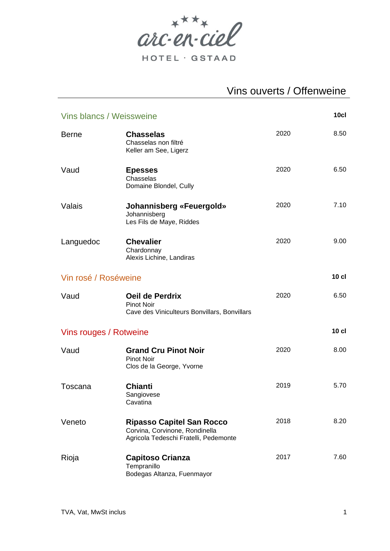

# Vins ouverts / Offenweine

| 10c1<br>Vins blancs / Weissweine |                                                                                                             |      |         |
|----------------------------------|-------------------------------------------------------------------------------------------------------------|------|---------|
| <b>Berne</b>                     | <b>Chasselas</b><br>Chasselas non filtré<br>Keller am See, Ligerz                                           | 2020 | 8.50    |
| Vaud                             | <b>Epesses</b><br>Chasselas<br>Domaine Blondel, Cully                                                       | 2020 | 6.50    |
| Valais                           | Johannisberg «Feuergold»<br>Johannisberg<br>Les Fils de Maye, Riddes                                        | 2020 | 7.10    |
| Languedoc                        | <b>Chevalier</b><br>Chardonnay<br>Alexis Lichine, Landiras                                                  | 2020 | 9.00    |
| Vin rosé / Roséweine             |                                                                                                             |      | $10$ cl |
| Vaud                             | Oeil de Perdrix<br><b>Pinot Noir</b><br>Cave des Viniculteurs Bonvillars, Bonvillars                        | 2020 | 6.50    |
| Vins rouges / Rotweine           |                                                                                                             |      | $10$ cl |
| Vaud                             | <b>Grand Cru Pinot Noir</b><br><b>Pinot Noir</b><br>Clos de la George, Yvorne                               | 2020 | 8.00    |
| Toscana                          | <b>Chianti</b><br>Sangiovese<br>Cavatina                                                                    | 2019 | 5.70    |
| Veneto                           | <b>Ripasso Capitel San Rocco</b><br>Corvina, Corvinone, Rondinella<br>Agricola Tedeschi Fratelli, Pedemonte | 2018 | 8.20    |
| Rioja                            | <b>Capitoso Crianza</b><br>Tempranillo<br>Bodegas Altanza, Fuenmayor                                        | 2017 | 7.60    |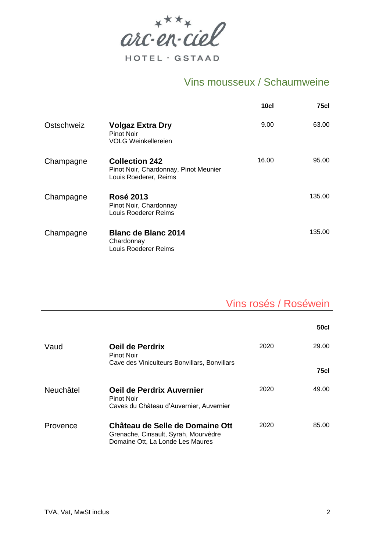$arc\cdot en\cdot cie\ell$ 

HOTEL · GSTAAD

#### Vins mousseux / Schaumweine

|            |                                                                                         | 10c1  | 75cl   |
|------------|-----------------------------------------------------------------------------------------|-------|--------|
| Ostschweiz | <b>Volgaz Extra Dry</b><br>Pinot Noir<br><b>VOLG Weinkellereien</b>                     | 9.00  | 63.00  |
| Champagne  | <b>Collection 242</b><br>Pinot Noir, Chardonnay, Pinot Meunier<br>Louis Roederer, Reims | 16.00 | 95.00  |
| Champagne  | <b>Rosé 2013</b><br>Pinot Noir, Chardonnay<br>Louis Roederer Reims                      |       | 135.00 |
| Champagne  | <b>Blanc de Blanc 2014</b><br>Chardonnay<br>Louis Roederer Reims                        |       | 135.00 |

## Vins rosés / Roséwein

|           |                                                                                                             |      | <b>50cl</b> |
|-----------|-------------------------------------------------------------------------------------------------------------|------|-------------|
| Vaud      | Oeil de Perdrix<br>Pinot Noir                                                                               | 2020 | 29.00       |
|           | Cave des Viniculteurs Bonvillars, Bonvillars                                                                |      | <b>75cl</b> |
| Neuchâtel | Oeil de Perdrix Auvernier<br><b>Pinot Noir</b><br>Caves du Château d'Auvernier, Auvernier                   | 2020 | 49.00       |
| Provence  | Château de Selle de Domaine Ott<br>Grenache, Cinsault, Syrah, Mourvèdre<br>Domaine Ott, La Londe Les Maures | 2020 | 85.00       |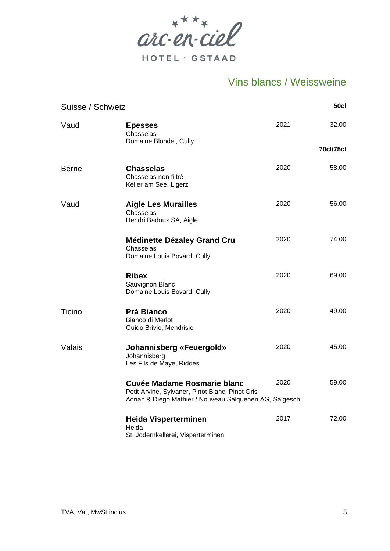

## Vins blancs / Weissweine

| <b>50cl</b><br>Suisse / Schweiz |                                                                                                                                           |      |                  |
|---------------------------------|-------------------------------------------------------------------------------------------------------------------------------------------|------|------------------|
| Vaud                            | <b>Epesses</b><br>Chasselas<br>Domaine Blondel, Cully                                                                                     | 2021 | 32.00            |
|                                 |                                                                                                                                           |      | <b>70cl/75cl</b> |
| <b>Berne</b>                    | <b>Chasselas</b><br>Chasselas non filtré<br>Keller am See, Ligerz                                                                         | 2020 | 58.00            |
| Vaud                            | <b>Aigle Les Murailles</b><br>Chasselas<br>Hendri Badoux SA, Aigle                                                                        | 2020 | 56.00            |
|                                 | <b>Médinette Dézaley Grand Cru</b><br>Chasselas<br>Domaine Louis Bovard, Cully                                                            | 2020 | 74.00            |
|                                 | <b>Ribex</b><br>Sauvignon Blanc<br>Domaine Louis Bovard, Cully                                                                            | 2020 | 69.00            |
| Ticino                          | <b>Prà Bianco</b><br>Bianco di Merlot<br>Guido Brivio, Mendrisio                                                                          | 2020 | 49.00            |
| Valais                          | Johannisberg «Feuergold»<br>Johannisberg<br>Les Fils de Maye, Riddes                                                                      | 2020 | 45.00            |
|                                 | Cuvée Madame Rosmarie blanc<br>Petit Arvine, Sylvaner, Pinot Blanc, Pinot Gris<br>Adrian & Diego Mathier / Nouveau Salquenen AG, Salgesch | 2020 | 59.00            |
|                                 | <b>Heida Visperterminen</b><br>Heida<br>St. Jodernkellerei, Visperterminen                                                                | 2017 | 72.00            |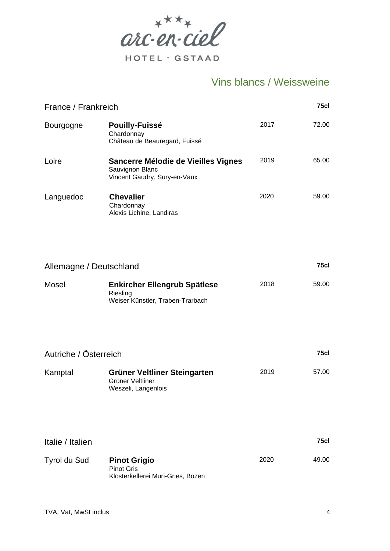

HOTEL · GSTAAD

## Vins blancs / Weissweine

| 75cl<br>France / Frankreich |                                                                                        |      |       |  |
|-----------------------------|----------------------------------------------------------------------------------------|------|-------|--|
| <b>Bourgogne</b>            | <b>Pouilly-Fuissé</b><br>Chardonnay<br>Château de Beauregard, Fuissé                   | 2017 | 72.00 |  |
| Loire                       | Sancerre Mélodie de Vieilles Vignes<br>Sauvignon Blanc<br>Vincent Gaudry, Sury-en-Vaux | 2019 | 65.00 |  |
| Languedoc                   | <b>Chevalier</b><br>Chardonnay<br>Alexis Lichine, Landiras                             | 2020 | 59.00 |  |
| Allemagne / Deutschland     |                                                                                        |      | 75cl  |  |
| Mosel                       | <b>Enkircher Ellengrub Spätlese</b><br>Riesling<br>Weiser Künstler, Traben-Trarbach    | 2018 | 59.00 |  |
| Autriche / Österreich       |                                                                                        |      | 75cl  |  |
| Kamptal                     | Grüner Veltliner Steingarten<br>Grüner Veltliner<br>Weszeli, Langenlois                | 2019 | 57.00 |  |
| Italie / Italien            |                                                                                        |      | 75cl  |  |
| Tyrol du Sud                | <b>Pinot Grigio</b><br><b>Pinot Gris</b><br>Klosterkellerei Muri-Gries, Bozen          | 2020 | 49.00 |  |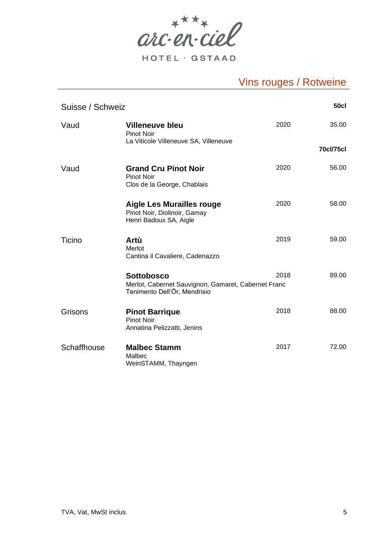

HOTEL · GSTAAD

| <b>50cl</b><br>Suisse / Schweiz |                                                                                                          |      |                  |
|---------------------------------|----------------------------------------------------------------------------------------------------------|------|------------------|
| Vaud                            | <b>Villeneuve bleu</b><br><b>Pinot Noir</b>                                                              | 2020 | 35.00            |
|                                 | La Viticole Villeneuve SA, Villeneuve                                                                    |      | <b>70cl/75cl</b> |
| Vaud                            | <b>Grand Cru Pinot Noir</b><br><b>Pinot Noir</b><br>Clos de la George, Chablais                          | 2020 | 56.00            |
|                                 | <b>Aigle Les Murailles rouge</b><br>Pinot Noir, Diolinoir, Gamay<br>Henri Badoux SA, Aigle               | 2020 | 58.00            |
| Ticino                          | Artù<br>Merlot<br>Cantina il Cavaliere, Cadenazzo                                                        | 2019 | 59.00            |
|                                 | <b>Sottobosco</b><br>Merlot, Cabernet Sauvignon, Gamaret, Cabernet Franc<br>Tenimento Dell'Ör, Mendrisio | 2018 | 89.00            |
| Grisons                         | <b>Pinot Barrique</b><br><b>Pinot Noir</b><br>Annatina Pelizzatti, Jenins                                | 2018 | 88.00            |
| Schaffhouse                     | <b>Malbec Stamm</b><br>Malbec<br>WeinSTAMM, Thayngen                                                     | 2017 | 72.00            |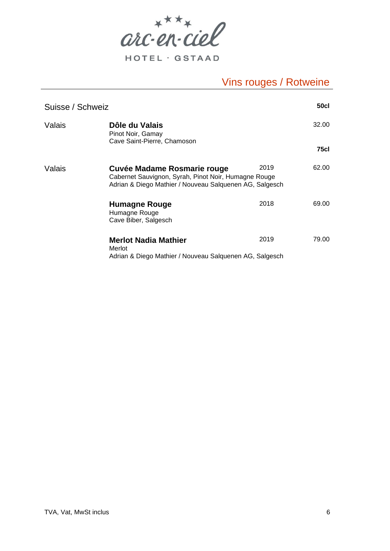

HOTEL · GSTAAD

| Suisse / Schweiz |                                                                                                                                                |      | <b>50cl</b> |
|------------------|------------------------------------------------------------------------------------------------------------------------------------------------|------|-------------|
| Valais           | Dôle du Valais<br>Pinot Noir, Gamay<br>Cave Saint-Pierre, Chamoson                                                                             |      | 32.00       |
|                  |                                                                                                                                                |      | 75cl        |
| Valais           | Cuvée Madame Rosmarie rouge<br>Cabernet Sauvignon, Syrah, Pinot Noir, Humagne Rouge<br>Adrian & Diego Mathier / Nouveau Salquenen AG, Salgesch | 2019 | 62.00       |
|                  | Humagne Rouge<br>Humagne Rouge<br>Cave Biber, Salgesch                                                                                         | 2018 | 69.00       |
|                  | Merlot Nadia Mathier<br>Merlot<br>Adrian & Diego Mathier / Nouveau Salquenen AG, Salgesch                                                      | 2019 | 79.00       |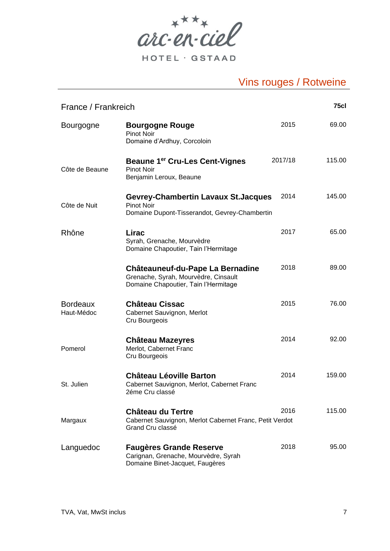

HOTEL · GSTAAD

| <b>75cl</b><br>France / Frankreich |                                                                                                                         |         |        |  |
|------------------------------------|-------------------------------------------------------------------------------------------------------------------------|---------|--------|--|
| <b>Bourgogne</b>                   | <b>Bourgogne Rouge</b><br><b>Pinot Noir</b><br>Domaine d'Ardhuy, Corcoloin                                              | 2015    | 69.00  |  |
| Côte de Beaune                     | <b>Beaune 1<sup>er</sup> Cru-Les Cent-Vignes</b><br><b>Pinot Noir</b><br>Benjamin Leroux, Beaune                        | 2017/18 | 115.00 |  |
| Côte de Nuit                       | <b>Gevrey-Chambertin Lavaux St. Jacques</b><br><b>Pinot Noir</b><br>Domaine Dupont-Tisserandot, Gevrey-Chambertin       | 2014    | 145.00 |  |
| Rhône                              | Lirac<br>Syrah, Grenache, Mourvèdre<br>Domaine Chapoutier, Tain l'Hermitage                                             | 2017    | 65.00  |  |
|                                    | <b>Châteauneuf-du-Pape La Bernadine</b><br>Grenache, Syrah, Mourvèdre, Cinsault<br>Domaine Chapoutier, Tain l'Hermitage | 2018    | 89.00  |  |
| <b>Bordeaux</b><br>Haut-Médoc      | <b>Château Cissac</b><br>Cabernet Sauvignon, Merlot<br>Cru Bourgeois                                                    | 2015    | 76.00  |  |
| Pomerol                            | <b>Château Mazeyres</b><br>Merlot, Cabernet Franc<br>Cru Bourgeois                                                      | 2014    | 92.00  |  |
| St. Julien                         | <b>Château Léoville Barton</b><br>Cabernet Sauvignon, Merlot, Cabernet Franc<br>2éme Cru classé                         | 2014    | 159.00 |  |
| Margaux                            | <b>Château du Tertre</b><br>Cabernet Sauvignon, Merlot Cabernet Franc, Petit Verdot<br>Grand Cru classé                 | 2016    | 115.00 |  |
| Languedoc                          | <b>Faugères Grande Reserve</b><br>Carignan, Grenache, Mourvèdre, Syrah<br>Domaine Binet-Jacquet, Faugères               | 2018    | 95.00  |  |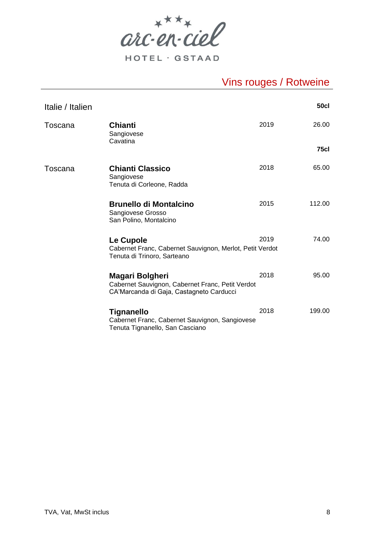

| Italie / Italien |                                                                                                                        |      | <b>50cl</b> |
|------------------|------------------------------------------------------------------------------------------------------------------------|------|-------------|
| Toscana          | <b>Chianti</b><br>Sangiovese<br>Cavatina                                                                               | 2019 | 26.00       |
|                  |                                                                                                                        |      | <b>75cl</b> |
| Toscana          | <b>Chianti Classico</b><br>Sangiovese<br>Tenuta di Corleone, Radda                                                     | 2018 | 65.00       |
|                  | <b>Brunello di Montalcino</b><br>Sangiovese Grosso<br>San Polino, Montalcino                                           | 2015 | 112.00      |
|                  | Le Cupole<br>Cabernet Franc, Cabernet Sauvignon, Merlot, Petit Verdot<br>Tenuta di Trinoro, Sarteano                   | 2019 | 74.00       |
|                  | <b>Magari Bolgheri</b><br>Cabernet Sauvignon, Cabernet Franc, Petit Verdot<br>CA'Marcanda di Gaja, Castagneto Carducci | 2018 | 95.00       |
|                  | <b>Tignanello</b><br>Cabernet Franc, Cabernet Sauvignon, Sangiovese<br>Tenuta Tignanello, San Casciano                 | 2018 | 199.00      |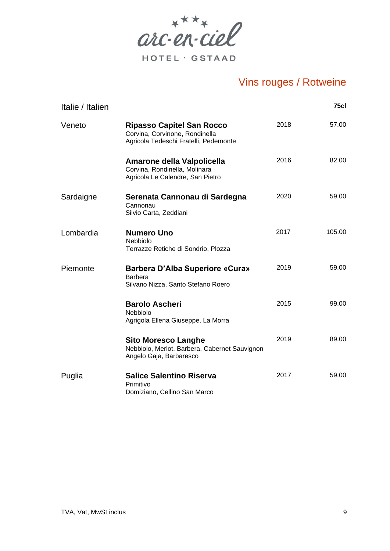

| Italie / Italien |                                                                                                             |      | 75cl   |
|------------------|-------------------------------------------------------------------------------------------------------------|------|--------|
| Veneto           | <b>Ripasso Capitel San Rocco</b><br>Corvina, Corvinone, Rondinella<br>Agricola Tedeschi Fratelli, Pedemonte | 2018 | 57.00  |
|                  | Amarone della Valpolicella<br>Corvina, Rondinella, Molinara<br>Agricola Le Calendre, San Pietro             | 2016 | 82.00  |
| Sardaigne        | Serenata Cannonau di Sardegna<br>Cannonau<br>Silvio Carta, Zeddiani                                         | 2020 | 59.00  |
| Lombardia        | <b>Numero Uno</b><br>Nebbiolo<br>Terrazze Retiche di Sondrio, Plozza                                        | 2017 | 105.00 |
| Piemonte         | <b>Barbera D'Alba Superiore «Cura»</b><br><b>Barbera</b><br>Silvano Nizza, Santo Stefano Roero              | 2019 | 59.00  |
|                  | <b>Barolo Ascheri</b><br>Nebbiolo<br>Agrigola Ellena Giuseppe, La Morra                                     | 2015 | 99.00  |
|                  | <b>Sito Moresco Langhe</b><br>Nebbiolo, Merlot, Barbera, Cabernet Sauvignon<br>Angelo Gaja, Barbaresco      | 2019 | 89.00  |
| Puglia           | <b>Salice Salentino Riserva</b><br>Primitivo<br>Domiziano, Cellino San Marco                                | 2017 | 59.00  |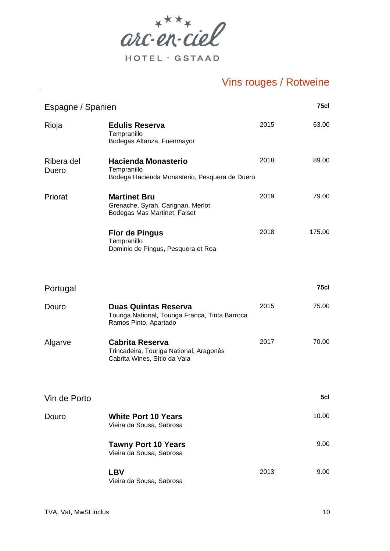

HOTEL · GSTAAD

| <b>75cl</b><br>Espagne / Spanien |                                                                                                         |      |             |
|----------------------------------|---------------------------------------------------------------------------------------------------------|------|-------------|
| Rioja                            | <b>Edulis Reserva</b><br>Tempranillo<br>Bodegas Altanza, Fuenmayor                                      | 2015 | 63.00       |
| Ribera del<br>Duero              | <b>Hacienda Monasterio</b><br>Tempranillo<br>Bodega Hacienda Monasterio, Pesquera de Duero              | 2018 | 89.00       |
| Priorat                          | <b>Martinet Bru</b><br>Grenache, Syrah, Carignan, Merlot<br>Bodegas Mas Martinet, Falset                | 2019 | 79.00       |
|                                  | <b>Flor de Pingus</b><br>Tempranillo<br>Dominio de Pingus, Pesquera et Roa                              | 2018 | 175.00      |
| Portugal                         |                                                                                                         |      | <b>75cl</b> |
| Douro                            | <b>Duas Quintas Reserva</b><br>Touriga National, Touriga Franca, Tinta Barroca<br>Ramos Pinto, Apartado | 2015 | 75.00       |
| Algarve                          | <b>Cabrita Reserva</b><br>Trincadeira, Touriga National, Aragonês<br>Cabrita Wines, Sítio da Vala       | 2017 | 70.00       |
|                                  |                                                                                                         |      |             |
| Vin de Porto                     |                                                                                                         |      | 5cl         |
| Douro                            | <b>White Port 10 Years</b><br>Vieira da Sousa, Sabrosa                                                  |      | 10.00       |
|                                  | <b>Tawny Port 10 Years</b><br>Vieira da Sousa, Sabrosa                                                  |      | 9.00        |
|                                  | <b>LBV</b><br>Vieira da Sousa, Sabrosa                                                                  | 2013 | 9.00        |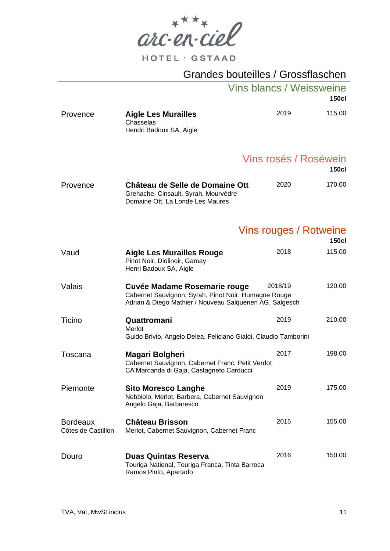$arc\cdot en\cdot cie\ell$ 

# Grandes bouteilles / Grossflaschen

|                                       |                                                                                                                                                 | <b>Vins blancs / Weissweine</b> |         | <b>150cl</b>                           |
|---------------------------------------|-------------------------------------------------------------------------------------------------------------------------------------------------|---------------------------------|---------|----------------------------------------|
| Provence                              | <b>Aigle Les Murailles</b><br>Chasselas<br>Hendri Badoux SA, Aigle                                                                              |                                 | 2019    | 115.00                                 |
|                                       |                                                                                                                                                 |                                 |         | Vins rosés / Roséwein<br><b>150cl</b>  |
| Provence                              | Château de Selle de Domaine Ott<br>Grenache, Cinsault, Syrah, Mourvèdre<br>Domaine Ott, La Londe Les Maures                                     |                                 | 2020    | 170.00                                 |
|                                       |                                                                                                                                                 |                                 |         | Vins rouges / Rotweine<br><b>150cl</b> |
| Vaud                                  | <b>Aigle Les Murailles Rouge</b><br>Pinot Noir, Diolinoir, Gamay<br>Henri Badoux SA, Aigle                                                      |                                 | 2018    | 115.00                                 |
| Valais                                | Cuvée Madame Rosemarie rouge<br>Cabernet Sauvignon, Syrah, Pinot Noir, Humagne Rouge<br>Adrian & Diego Mathier / Nouveau Salquenen AG, Salgesch |                                 | 2018/19 | 120.00                                 |
| Ticino                                | Quattromani<br>Merlot<br>Guido Brivio, Angelo Delea, Feliciano Gialdi, Claudio Tamborini                                                        |                                 | 2019    | 210.00                                 |
| Toscana                               | Magari Bolgheri<br>Cabernet Sauvignon, Cabernet Franc, Petit Verdot<br>CA'Marcanda di Gaja, Castagneto Carducci                                 |                                 | 2017    | 198.00                                 |
| Piemonte                              | <b>Sito Moresco Langhe</b><br>Nebbiolo, Merlot, Barbera, Cabernet Sauvignon<br>Angelo Gaja, Barbaresco                                          |                                 | 2019    | 175.00                                 |
| <b>Bordeaux</b><br>Côtes de Castillon | <b>Château Brisson</b><br>Merlot, Cabernet Sauvignon, Cabernet Franc                                                                            |                                 | 2015    | 155.00                                 |
| Douro                                 | <b>Duas Quintas Reserva</b><br>Touriga National, Touriga Franca, Tinta Barroca<br>Ramos Pinto, Apartado                                         |                                 | 2016    | 150.00                                 |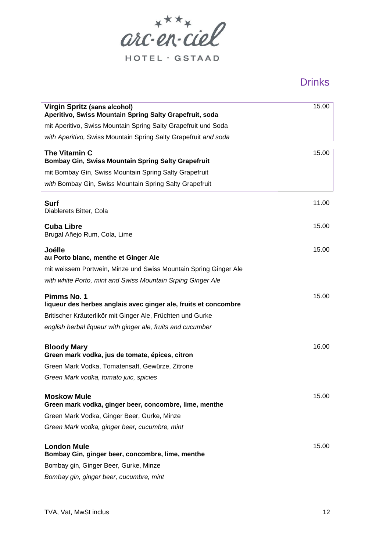

HOTEL · GSTAAD

| rın |  |
|-----|--|
|     |  |

| <b>Virgin Spritz (sans alcohol)</b><br>Aperitivo, Swiss Mountain Spring Salty Grapefruit, soda | 15.00 |
|------------------------------------------------------------------------------------------------|-------|
| mit Aperitivo, Swiss Mountain Spring Salty Grapefruit und Soda                                 |       |
| with Aperitivo, Swiss Mountain Spring Salty Grapefruit and soda                                |       |
| The Vitamin C<br>Bombay Gin, Swiss Mountain Spring Salty Grapefruit                            | 15.00 |
| mit Bombay Gin, Swiss Mountain Spring Salty Grapefruit                                         |       |
| with Bombay Gin, Swiss Mountain Spring Salty Grapefruit                                        |       |
| <b>Surf</b><br>Diablerets Bitter, Cola                                                         | 11.00 |
| <b>Cuba Libre</b><br>Brugal Añejo Rum, Cola, Lime                                              | 15.00 |
| Joëlle<br>au Porto blanc, menthe et Ginger Ale                                                 | 15.00 |
| mit weissem Portwein, Minze und Swiss Mountain Spring Ginger Ale                               |       |
| with white Porto, mint and Swiss Mountain Srping Ginger Ale                                    |       |
| Pimms No. 1<br>liqueur des herbes anglais avec ginger ale, fruits et concombre                 | 15.00 |
| Britischer Kräuterlikör mit Ginger Ale, Früchten und Gurke                                     |       |
| english herbal liqueur with ginger ale, fruits and cucumber                                    |       |
| <b>Bloody Mary</b><br>Green mark vodka, jus de tomate, épices, citron                          | 16.00 |
| Green Mark Vodka, Tomatensaft, Gewürze, Zitrone                                                |       |
| Green Mark vodka, tomato juic, spicies                                                         |       |
| <b>Moskow Mule</b><br>Green mark vodka, ginger beer, concombre, lime, menthe                   | 15.00 |
| Green Mark Vodka, Ginger Beer, Gurke, Minze                                                    |       |
| Green Mark vodka, ginger beer, cucumbre, mint                                                  |       |
| <b>London Mule</b><br>Bombay Gin, ginger beer, concombre, lime, menthe                         | 15.00 |
| Bombay gin, Ginger Beer, Gurke, Minze                                                          |       |
| Bombay gin, ginger beer, cucumbre, mint                                                        |       |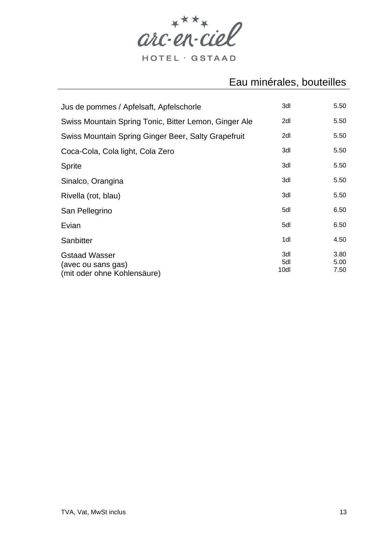

#### Eau minérales, bouteilles

| Jus de pommes / Apfelsaft, Apfelschorle                                   | 3dl                | 5.50                 |
|---------------------------------------------------------------------------|--------------------|----------------------|
| Swiss Mountain Spring Tonic, Bitter Lemon, Ginger Ale                     | 2dl                | 5.50                 |
| Swiss Mountain Spring Ginger Beer, Salty Grapefruit                       | 2dl                | 5.50                 |
| Coca-Cola, Cola light, Cola Zero                                          | 3dl                | 5.50                 |
| <b>Sprite</b>                                                             | 3dl                | 5.50                 |
| Sinalco, Orangina                                                         | 3dl                | 5.50                 |
| Rivella (rot, blau)                                                       | 3dl                | 5.50                 |
| San Pellegrino                                                            | 5dl                | 6.50                 |
| Evian                                                                     | 5dl                | 6.50                 |
| Sanbitter                                                                 | 1dl                | 4.50                 |
| <b>Gstaad Wasser</b><br>(avec ou sans gas)<br>(mit oder ohne Kohlensäure) | 3dl<br>5dl<br>10dl | 3.80<br>5.00<br>7.50 |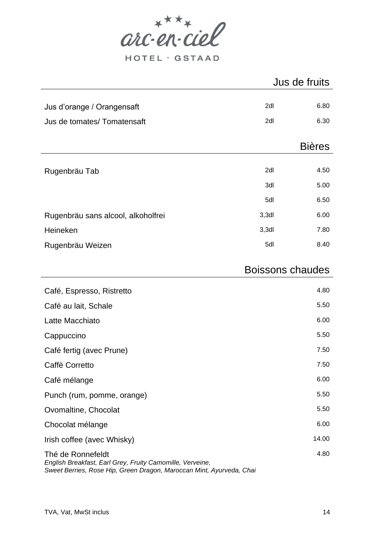

HOTEL · GSTAAD

|                                    | Jus de fruits           |               |
|------------------------------------|-------------------------|---------------|
|                                    |                         |               |
| Jus d'orange / Orangensaft         | 2dl                     | 6.80          |
| Jus de tomates/ Tomatensaft        | 2dl                     | 6.30          |
|                                    |                         |               |
|                                    |                         | <b>Bières</b> |
|                                    |                         |               |
| Rugenbräu Tab                      | 2dl                     | 4.50          |
|                                    | 3dl                     | 5.00          |
|                                    | 5dl                     | 6.50          |
| Rugenbräu sans alcool, alkoholfrei | $3,3$ dl                | 6.00          |
| Heineken                           | 3,3d                    | 7.80          |
| Rugenbräu Weizen                   | 5dl                     | 8.40          |
|                                    |                         |               |
|                                    | <b>Boissons chaudes</b> |               |
| Café, Espresso, Ristretto          |                         | 4.80          |
| Café au lait, Schale               |                         | 5.50          |
| Latte Macchiato                    |                         | 6.00          |
| Cappuccino                         |                         | 5.50          |

| <b>Ouppuouno</b>                                                               |       |
|--------------------------------------------------------------------------------|-------|
| Café fertig (avec Prune)                                                       | 7.50  |
| Caffè Corretto                                                                 | 7.50  |
| Café mélange                                                                   | 6.00  |
| Punch (rum, pomme, orange)                                                     | 5.50  |
| Ovomaltine, Chocolat                                                           | 5.50  |
| Chocolat mélange                                                               | 6.00  |
| Irish coffee (avec Whisky)                                                     | 14.00 |
| Thé de Ronnefeldt<br>English Breakfast, Earl Grey, Fruity Camomille, Verveine, | 4.80  |

*Sweet Berries, Rose Hip, Green Dragon, Maroccan Mint, Ayurveda, Chai*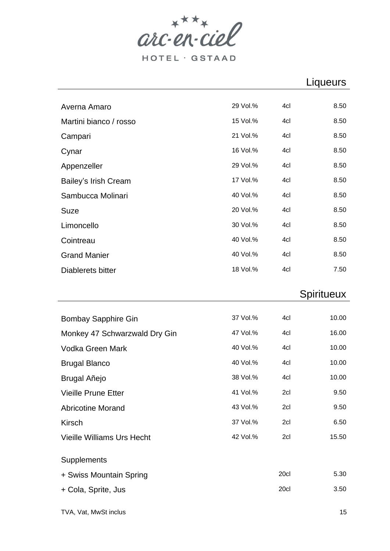

## Liqueurs

| Averna Amaro                      | 29 Vol.%             | 4cl  | 8.50           |
|-----------------------------------|----------------------|------|----------------|
| Martini bianco / rosso            | 15 Vol.%             | 4cl  | 8.50           |
| Campari                           | 21 Vol.%             | 4cl  | 8.50           |
| Cynar                             | 16 Vol.%             | 4cl  | 8.50           |
| Appenzeller                       | 29 Vol.%             | 4cl  | 8.50           |
| Bailey's Irish Cream              | 17 Vol.%             | 4cl  | 8.50           |
| Sambucca Molinari                 | 40 Vol.%             | 4cl  | 8.50           |
| Suze                              | 20 Vol.%             | 4cl  | 8.50           |
| Limoncello                        | 30 Vol.%             | 4cl  | 8.50           |
| Cointreau                         | 40 Vol.%             | 4cl  | 8.50           |
| <b>Grand Manier</b>               | 40 Vol.%             | 4cl  | 8.50           |
| Diablerets bitter                 | 18 Vol.%             | 4cl  | 7.50           |
|                                   |                      |      |                |
|                                   |                      |      | Spiritueux     |
|                                   |                      |      |                |
|                                   | 37 Vol.%             | 4cl  | 10.00          |
| <b>Bombay Sapphire Gin</b>        |                      | 4cl  |                |
| Monkey 47 Schwarzwald Dry Gin     | 47 Vol.%<br>40 Vol.% | 4cl  | 16.00<br>10.00 |
| Vodka Green Mark                  | 40 Vol.%             | 4cl  | 10.00          |
| <b>Brugal Blanco</b>              | 38 Vol.%             | 4cl  | 10.00          |
| Brugal Añejo                      | 41 Vol.%             | 2cl  | 9.50           |
| <b>Vieille Prune Etter</b>        | 43 Vol.%             | 2cl  |                |
| <b>Abricotine Morand</b>          | 37 Vol.%             | 2cl  | 9.50<br>6.50   |
| <b>Kirsch</b>                     |                      |      |                |
| <b>Vieille Williams Urs Hecht</b> | 42 Vol.%             | 2cl  | 15.50          |
| Supplements                       |                      |      |                |
| + Swiss Mountain Spring           |                      | 20cl | 5.30           |
| + Cola, Sprite, Jus               |                      | 20cl | 3.50           |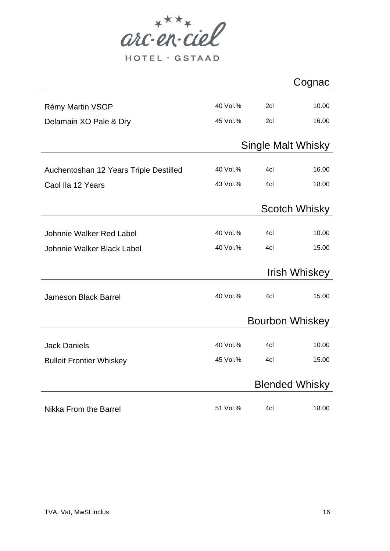

HOTEL · GSTAAD

|                                        |          |                        | Cognac                |
|----------------------------------------|----------|------------------------|-----------------------|
|                                        |          |                        |                       |
| Rémy Martin VSOP                       | 40 Vol.% | 2cl                    | 10.00                 |
| Delamain XO Pale & Dry                 | 45 Vol.% | 2cl                    | 16.00                 |
|                                        |          |                        |                       |
|                                        |          | Single Malt Whisky     |                       |
|                                        |          |                        |                       |
| Auchentoshan 12 Years Triple Destilled | 40 Vol.% | 4cl                    | 16.00                 |
| Caol Ila 12 Years                      | 43 Vol.% | 4cl                    | 18.00                 |
|                                        |          |                        |                       |
|                                        |          |                        | <b>Scotch Whisky</b>  |
|                                        |          |                        |                       |
| Johnnie Walker Red Label               | 40 Vol.% | 4cl                    | 10.00                 |
| Johnnie Walker Black Label             | 40 Vol.% | 4cl                    | 15.00                 |
|                                        |          |                        |                       |
|                                        |          |                        | <b>Irish Whiskey</b>  |
|                                        |          |                        |                       |
| <b>Jameson Black Barrel</b>            | 40 Vol.% | 4cl                    | 15.00                 |
|                                        |          | <b>Bourbon Whiskey</b> |                       |
|                                        |          |                        |                       |
| <b>Jack Daniels</b>                    | 40 Vol.% | 4cl                    | 10.00                 |
| <b>Bulleit Frontier Whiskey</b>        | 45 Vol.% | 4cl                    | 15.00                 |
|                                        |          |                        |                       |
|                                        |          |                        | <b>Blended Whisky</b> |
|                                        |          |                        |                       |
| <b>Nikka From the Barrel</b>           | 51 Vol.% | 4cl                    | 18.00                 |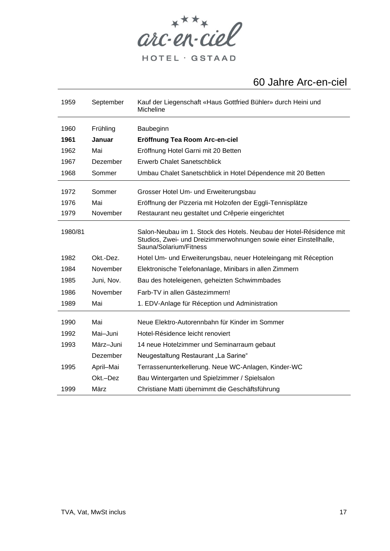

## Jahre Arc-en-ciel

| 1959    | September  | Kauf der Liegenschaft «Haus Gottfried Bühler» durch Heini und<br>Micheline                                                                                         |
|---------|------------|--------------------------------------------------------------------------------------------------------------------------------------------------------------------|
| 1960    | Frühling   | Baubeginn                                                                                                                                                          |
| 1961    | Januar     | Eröffnung Tea Room Arc-en-ciel                                                                                                                                     |
| 1962    | Mai        | Eröffnung Hotel Garni mit 20 Betten                                                                                                                                |
| 1967    | Dezember   | <b>Erwerb Chalet Sanetschblick</b>                                                                                                                                 |
| 1968    | Sommer     | Umbau Chalet Sanetschblick in Hotel Dépendence mit 20 Betten                                                                                                       |
| 1972    | Sommer     | Grosser Hotel Um- und Erweiterungsbau                                                                                                                              |
| 1976    | Mai        | Eröffnung der Pizzeria mit Holzofen der Eggli-Tennisplätze                                                                                                         |
| 1979    | November   | Restaurant neu gestaltet und Crêperie eingerichtet                                                                                                                 |
| 1980/81 |            | Salon-Neubau im 1. Stock des Hotels. Neubau der Hotel-Résidence mit<br>Studios, Zwei- und Dreizimmerwohnungen sowie einer Einstellhalle,<br>Sauna/Solarium/Fitness |
| 1982    | Okt.-Dez.  | Hotel Um- und Erweiterungsbau, neuer Hoteleingang mit Réception                                                                                                    |
| 1984    | November   | Elektronische Telefonanlage, Minibars in allen Zimmern                                                                                                             |
| 1985    | Juni, Nov. | Bau des hoteleigenen, geheizten Schwimmbades                                                                                                                       |
| 1986    | November   | Farb-TV in allen Gästezimmern!                                                                                                                                     |
| 1989    | Mai        | 1. EDV-Anlage für Réception und Administration                                                                                                                     |
| 1990    | Mai        | Neue Elektro-Autorennbahn für Kinder im Sommer                                                                                                                     |
| 1992    | Mai-Juni   | Hotel-Résidence leicht renoviert                                                                                                                                   |
| 1993    | März-Juni  | 14 neue Hotelzimmer und Seminarraum gebaut                                                                                                                         |
|         | Dezember   | Neugestaltung Restaurant "La Sarine"                                                                                                                               |
| 1995    | April-Mai  | Terrassenunterkellerung. Neue WC-Anlagen, Kinder-WC                                                                                                                |
|         | Okt.-Dez   | Bau Wintergarten und Spielzimmer / Spielsalon                                                                                                                      |
| 1999    | März       | Christiane Matti übernimmt die Geschäftsführung                                                                                                                    |